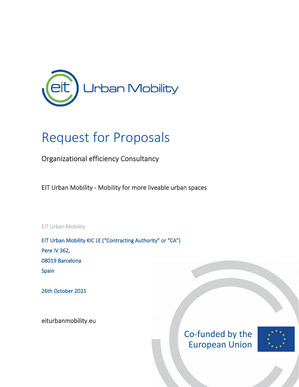

## Request for Proposals

Organizational efficiency Consultancy

EIT Urban Mobility - Mobility for more liveable urban spaces

EIT Urban Mobility

EIT Urban Mobility KIC LE ("Contracting Authority" or "CA") Pere IV 362, 08019 Barcelona Spain

26th October 2021

[eiturbanmobility.eu](http://www.eiturbanmobility.eu/)

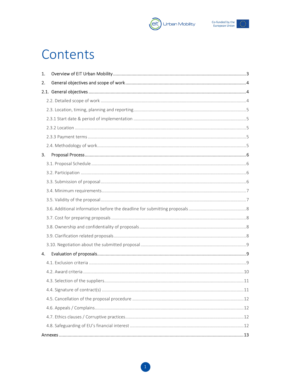



## Contents

| 1. |  |
|----|--|
| 2. |  |
|    |  |
|    |  |
|    |  |
|    |  |
|    |  |
|    |  |
|    |  |
| 3. |  |
|    |  |
|    |  |
|    |  |
|    |  |
|    |  |
|    |  |
|    |  |
|    |  |
|    |  |
|    |  |
| 4. |  |
|    |  |
|    |  |
|    |  |
|    |  |
|    |  |
|    |  |
|    |  |
|    |  |
|    |  |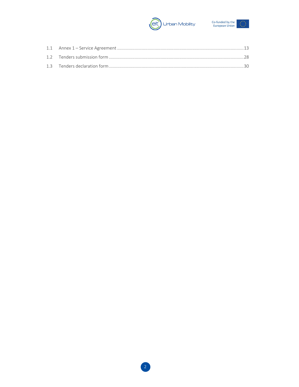

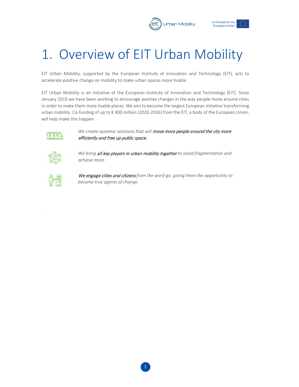



# <span id="page-3-0"></span>1. Overview of EIT Urban Mobility

EIT Urban Mobility, supported by the European Institute of Innovation and Technology (EIT), acts to accelerate positive change on mobility to make urban spaces more livable.

EIT Urban Mobility is an initiative of the European Institute of Innovation and Technology (EIT). Since January 2019 we have been working to encourage positive changes in the way people move around cities in order to make them more livable places. We aim to become the largest European initiative transforming urban mobility. Co-funding of up to € 400 million (2020-2026) from the EIT, a body of the European Union, will help make this happen



We create systemic solutions that will move more people around the city more efficiently and free up public space.



*We bring* all key players in urban mobility together *to avoid fragmentation and achieve more.*



.

We engage cities and citizens *from the word go, giving them the opportunity to become true agents of change.*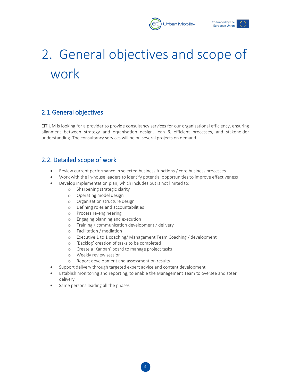



# <span id="page-4-0"></span>2. General objectives and scope of work

## <span id="page-4-1"></span>2.1.General objectives

EIT UM is looking for a provider to provide consultancy services for our organizational efficiency, ensuring alignment between strategy and organisation design, lean & efficient processes, and stakeholder understanding. The consultancy services will be on several projects on demand.

## <span id="page-4-2"></span>2.2. Detailed scope of work

- Review current performance in selected business functions / core business processes
- Work with the in-house leaders to identify potential opportunities to improve effectiveness
- Develop implementation plan, which includes but is not limited to:
	- o Sharpening strategic clarity
	- o Operating model design
	- o Organisation structure design
	- o Defining roles and accountabilities
	- o Process re-engineering
	- o Engaging planning and execution
	- o Training / communication development / delivery
	- o Facilitation / mediation
	- o Executive 1 to 1 coaching/ Management Team Coaching / development
	- o 'Backlog' creation of tasks to be completed
	- o Create a 'Kanban' board to manage project tasks
	- o Weekly review session
	- o Report development and assessment on results
- Support delivery through targeted expert advice and content development
- Establish monitoring and reporting, to enable the Management Team to oversee and steer delivery
- Same persons leading all the phases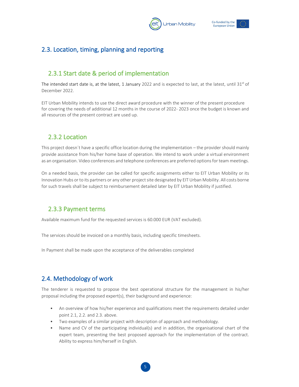



## <span id="page-5-1"></span><span id="page-5-0"></span>2.3. Location, timing, planning and reporting

## 2.3.1 Start date & period of implementation

The intended start date is, at the latest, 1 January 2022 and is expected to last, at the latest, until  $31^{st}$  of December 2022.

<span id="page-5-2"></span>EIT Urban Mobility intends to use the direct award procedure with the winner of the present procedure for covering the needs of additional 12 months in the course of 2022- 2023 once the budget is known and all resources of the present contract are used up.

#### 2.3.2 Location

This project doesn´t have a specific office location during the implementation – the provider should mainly provide assistance from his/her home base of operation. We intend to work under a virtual environment as an organisation. Video conferences and telephone conferences are preferred options for team meetings.

On a needed basis, the provider can be called for specific assignments either to EIT Urban Mobility or its Innovation Hubs or to its partners or any other project site designated by EIT Urban Mobility. All costs borne for such travels shall be subject to reimbursement detailed later by EIT Urban Mobility if justified.

#### <span id="page-5-3"></span>2.3.3 Payment terms

Available maximum fund for the requested services is 60.000 EUR (VAT excluded).

The services should be invoiced on a monthly basis, including specific timesheets.

In Payment shall be made upon the acceptance of the deliverables completed

## <span id="page-5-4"></span>2.4. Methodology of work

The tenderer is requested to propose the best operational structure for the management in his/her proposal including the proposed expert(s), their background and experience:

- An overview of how his/her experience and qualifications meet the requirements detailed under point 2.1, 2.2. and 2.3. above.
- Two examples of a similar project with description of approach and methodology.
- Name and CV of the participating individual(s) and in addition, the organisational chart of the expert team, presenting the best proposed approach for the implementation of the contract. Ability to express him/herself in English.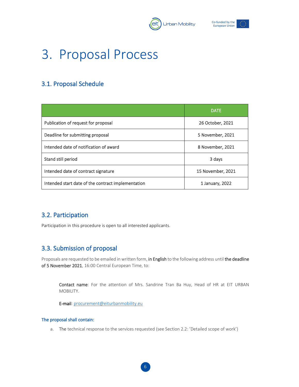



## <span id="page-6-0"></span>3. Proposal Process

## <span id="page-6-1"></span>3.1. Proposal Schedule

|                                                    | <b>DATE</b>       |
|----------------------------------------------------|-------------------|
| Publication of request for proposal                | 26 October, 2021  |
| Deadline for submitting proposal                   | 5 November, 2021  |
| Intended date of notification of award             | 8 November, 2021  |
| Stand still period                                 | 3 days            |
| Intended date of contract signature                | 15 November, 2021 |
| Intended start date of the contract implementation | 1 January, 2022   |

## <span id="page-6-2"></span>3.2. Participation

Participation in this procedure is open to all interested applicants.

## <span id="page-6-3"></span>3.3. Submission of proposal

Proposals are requested to be emailed in written form, in English to the following address until the deadline of 5 November 2021, 16:00 Central European Time, to:

Contact name: For the attention of Mrs. Sandrine Tran Ba Huy, Head of HR at EIT URBAN MOBILITY.

E-mail: [procurement@eiturbanmobility.eu](mailto:procurement@eiturbanmobility.eu)

#### The proposal shall contain:

a. The technical response to the services requested (see Section 2.2: 'Detailed scope of work')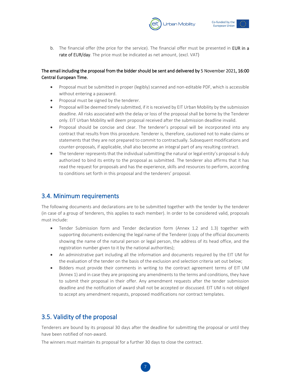



b. The financial offer (the price for the service). The financial offer must be presented in EUR in a rate of EUR/day. The price must be indicated as net amount, (excl. VAT)

#### The email including the proposal from the bidder should be sent and delivered by 5 November 2021, 16:00 Central European Time.

- Proposal must be submitted in proper (legibly) scanned and non-editable PDF, which is accessible without entering a password.
- Proposal must be signed by the tenderer.
- Proposal will be deemed timely submitted, if it is received by EIT Urban Mobility by the submission deadline. All risks associated with the delay or loss of the proposal shall be borne by the Tenderer only. EIT Urban Mobility will deem proposal received after the submission deadline invalid.
- Proposal should be concise and clear. The tenderer's proposal will be incorporated into any contract that results from this procedure. Tenderer is, therefore, cautioned not to make claims or statements that they are not prepared to commit to contractually. Subsequent modifications and counter-proposals, if applicable, shall also become an integral part of any resulting contract.
- The tenderer represents that the individual submitting the natural or legal entity's proposal is duly authorized to bind its entity to the proposal as submitted. The tenderer also affirms that it has read the request for proposals and has the experience, skills and resources to perform, according to conditions set forth in this proposal and the tenderers' proposal.

## <span id="page-7-0"></span>3.4. Minimum requirements

The following documents and declarations are to be submitted together with the tender by the tenderer (in case of a group of tenderers, this applies to each member). In order to be considered valid, proposals must include:

- Tender Submission form and Tender declaration form (Annex 1.2 and 1.3) together with supporting documents evidencing the legal name of the Tenderer (copy of the official documents showing the name of the natural person or legal person, the address of its head office, and the registration number given to it by the national authorities);
- An administrative part including all the information and documents required by the EIT UM for the evaluation of the tender on the basis of the exclusion and selection criteria set out below;
- Bidders must provide their comments in writing to the contract agreement terms of EIT UM (Annex 1) and in case they are proposing any amendments to the terms and conditions, they have to submit their proposal in their offer. Any amendment requests after the tender submission deadline and the notification of award shall not be accepted or discussed. EIT UM is not obliged to accept any amendment requests, proposed modifications nor contract templates.

## <span id="page-7-1"></span>3.5. Validity of the proposal

Tenderers are bound by its proposal 30 days after the deadline for submitting the proposal or until they have been notified of non-award.

The winners must maintain its proposal for a further 30 days to close the contract.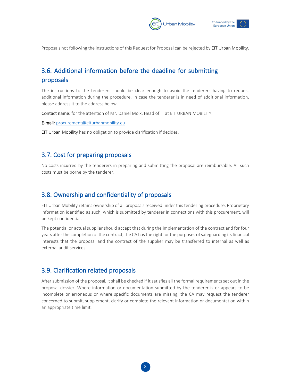



<span id="page-8-0"></span>Proposals not following the instructions of this Request for Proposal can be rejected by EIT Urban Mobility.

## 3.6. Additional information before the deadline for submitting proposals

The instructions to the tenderers should be clear enough to avoid the tenderers having to request additional information during the procedure. In case the tenderer is in need of additional information, please address it to the address below.

Contact name: for the attention of Mr. Daniel Moix, Head of IT at EIT URBAN MOBILITY.

E-mail: [procurement@eiturbanmobility.eu](mailto:procurement@eiturbanmobility.eu)

<span id="page-8-1"></span>EIT Urban Mobility has no obligation to provide clarification if decides.

#### 3.7. Cost for preparing proposals

No costs incurred by the tenderers in preparing and submitting the proposal are reimbursable. All such costs must be borne by the tenderer.

#### <span id="page-8-2"></span>3.8. Ownership and confidentiality of proposals

EIT Urban Mobility retains ownership of all proposals received under this tendering procedure. Proprietary information identified as such, which is submitted by tenderer in connections with this procurement, will be kept confidential.

The potential or actual supplier should accept that during the implementation of the contract and for four years after the completion of the contract, the CA has the right for the purposes of safeguarding its financial interests that the proposal and the contract of the supplier may be transferred to internal as well as external audit services.

#### <span id="page-8-3"></span>3.9. Clarification related proposals

After submission of the proposal, it shall be checked if it satisfies all the formal requirements set out in the proposal dossier. Where information or documentation submitted by the tenderer is or appears to be incomplete or erroneous or where specific documents are missing, the CA may request the tenderer concerned to submit, supplement, clarify or complete the relevant information or documentation within an appropriate time limit.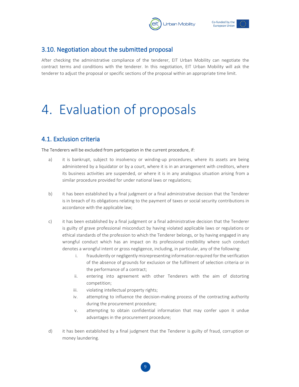



#### <span id="page-9-0"></span>3.10. Negotiation about the submitted proposal

<span id="page-9-1"></span>After checking the administrative compliance of the tenderer, EIT Urban Mobility can negotiate the contract terms and conditions with the tenderer. In this negotiation, EIT Urban Mobility will ask the tenderer to adjust the proposal or specific sections of the proposal within an appropriate time limit.

## 4. Evaluation of proposals

## <span id="page-9-2"></span>4.1. Exclusion criteria

The Tenderers will be excluded from participation in the current procedure, if:

- a) it is bankrupt, subject to insolvency or winding-up procedures, where its assets are being administered by a liquidator or by a court, where it is in an arrangement with creditors, where its business activities are suspended, or where it is in any analogous situation arising from a similar procedure provided for under national laws or regulations;
- b) it has been established by a final judgment or a final administrative decision that the Tenderer is in breach of its obligations relating to the payment of taxes or social security contributions in accordance with the applicable law;
- c) it has been established by a final judgment or a final administrative decision that the Tenderer is guilty of grave professional misconduct by having violated applicable laws or regulations or ethical standards of the profession to which the Tenderer belongs, or by having engaged in any wrongful conduct which has an impact on its professional credibility where such conduct denotes a wrongful intent or gross negligence, including, in particular, any of the following:
	- i. fraudulently or negligently misrepresenting information required for the verification of the absence of grounds for exclusion or the fulfilment of selection criteria or in the performance of a contract;
	- ii. entering into agreement with other Tenderers with the aim of distorting competition;
	- iii. violating intellectual property rights;
	- iv. attempting to influence the decision-making process of the contracting authority during the procurement procedure;
	- v. attempting to obtain confidential information that may confer upon it undue advantages in the procurement procedure;
- d) it has been established by a final judgment that the Tenderer is guilty of fraud, corruption or money laundering.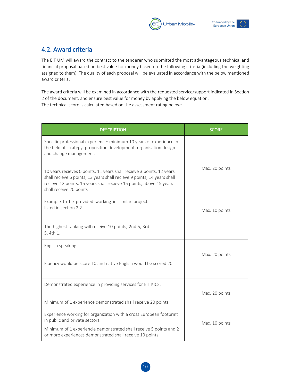



## <span id="page-10-0"></span>4.2. Award criteria

The EIT UM will award the contract to the tenderer who submitted the most advantageous technical and financial proposal based on best value for money based on the following criteria (including the weighting assigned to them). The quality of each proposal will be evaluated in accordance with the below mentioned award criteria.

The award criteria will be examined in accordance with the requested service/support indicated in Section 2 of the document, and ensure best value for money by applying the below equation: The technical score is calculated based on the assessment rating below:

| <b>DESCRIPTION</b>                                                                                                                                                                                                                                 | <b>SCORE</b>   |
|----------------------------------------------------------------------------------------------------------------------------------------------------------------------------------------------------------------------------------------------------|----------------|
| Specific professional experience: minimum 10 years of experience in<br>the field of strategy, proposition development, organisation design<br>and change management.                                                                               |                |
| 10 years recieves 0 points, 11 years shall recieve 3 points, 12 years<br>shall recieve 6 points, 13 years shall recieve 9 points, 14 years shall<br>recieve 12 points, 15 years shall recieve 15 points, above 15 years<br>shall receive 20 points | Max. 20 points |
| Example to be provided working in similar projects<br>listed in section 2.2.                                                                                                                                                                       | Max. 10 points |
| The highest ranking will receive 10 points, 2nd 5, 3rd<br>5, 4th 1.                                                                                                                                                                                |                |
| English speaking.                                                                                                                                                                                                                                  |                |
| Fluency would be score 10 and native English would be scored 20.                                                                                                                                                                                   | Max. 20 points |
| Demonstrated experience in providing services for EIT KICS.                                                                                                                                                                                        |                |
| Minimum of 1 experience demonstrated shall receive 20 points.                                                                                                                                                                                      | Max. 20 points |
| Experience working for organization with a cross European footprint<br>in public and private sectors.                                                                                                                                              |                |
| Minimum of 1 experiencie demonstrated shall receive 5 points and 2<br>or more experiences demonstrated shall receive 10 points                                                                                                                     | Max. 10 points |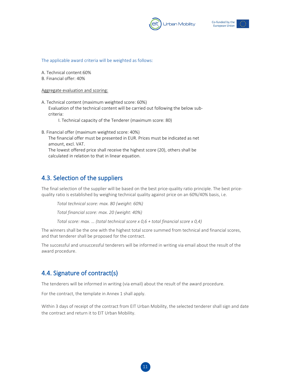



The applicable award criteria will be weighted as follows:

A. Technical content:60%

B. Financial offer: 40%

Aggregate evaluation and scoring:

- A. Technical content (maximum weighted score: 60%) Evaluation of the technical content will be carried out following the below subcriteria:
	- I. Technical capacity of the Tenderer (maximum score: 80)
- B. Financial offer (maximum weighted score: 40%) The financial offer must be presented in EUR. Prices must be indicated as net amount, excl. VAT. The lowest offered price shall receive the highest score (20), others shall be calculated in relation to that in linear equation.

## <span id="page-11-0"></span>4.3. Selection of the suppliers

The final selection of the supplier will be based on the best price-quality ratio principle. The best pricequality ratio is established by weighing technical quality against price on an 60%/40% basis, i.e.

*Total technical score: max. 80 (weight: 60%)*

*Total financial score: max. 20 (weight: 40%)*

*Total score: max. … (total technical score x 0,6 + total financial score x 0,4)*

The winners shall be the one with the highest total score summed from technical and financial scores, and that tenderer shall be proposed for the contract.

The successful and unsuccessful tenderers will be informed in writing via email about the result of the award procedure.

## <span id="page-11-1"></span>4.4. Signature of contract(s)

The tenderers will be informed in writing (via email) about the result of the award procedure.

For the contract, the template in Annex 1 shall apply.

Within 3 days of receipt of the contract from EIT Urban Mobility, the selected tenderer shall sign and date the contract and return it to EIT Urban Mobility.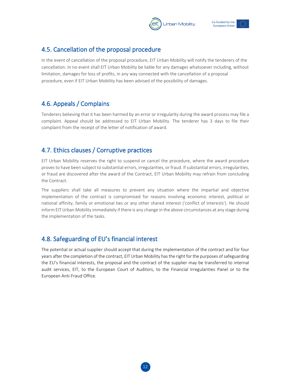



#### <span id="page-12-0"></span>4.5. Cancellation of the proposal procedure

In the event of cancellation of the proposal procedure, EIT Urban Mobility will notify the tenderers of the cancellation. In no event shall EIT Urban Mobility be liable for any damages whatsoever including, without limitation, damages for loss of profits, in any way connected with the cancellation of a proposal procedure, even if EIT Urban Mobility has been advised of the possibility of damages.

## <span id="page-12-1"></span>4.6. Appeals / Complains

Tenderers believing that it has been harmed by an error or irregularity during the award process may file a complaint. Appeal should be addressed to EIT Urban Mobility. The tenderer has 3 days to file their complaint from the receipt of the letter of notification of award.

## <span id="page-12-2"></span>4.7. Ethics clauses / Corruptive practices

EIT Urban Mobility reserves the right to suspend or cancel the procedure, where the award procedure proves to have been subject to substantial errors, irregularities, or fraud. If substantial errors, irregularities, or fraud are discovered after the award of the Contract, EIT Urban Mobility may refrain from concluding the Contract.

The suppliers shall take all measures to prevent any situation where the impartial and objective implementation of the contract is compromised for reasons involving economic interest, political or national affinity, family or emotional ties or any other shared interest ('conflict of interests'). He should inform EIT Urban Mobility immediately if there is any change in the above circumstances at any stage during the implementation of the tasks.

## <span id="page-12-3"></span>4.8. Safeguarding of EU's financial interest

The potential or actual supplier should accept that during the implementation of the contract and for four years after the completion of the contract, EIT Urban Mobility has the right for the purposes of safeguarding the EU's financial interests, the proposal and the contract of the supplier may be transferred to internal audit services, EIT, to the European Court of Auditors, to the Financial Irregularities Panel or to the European Anti-Fraud Office.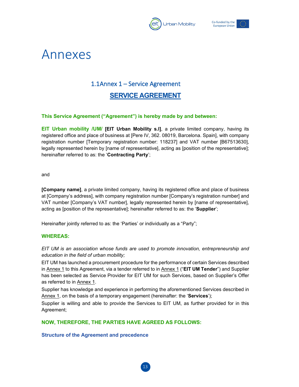



## <span id="page-13-1"></span><span id="page-13-0"></span>Annexes

## 1.1Annex 1 – Service Agreement

## **SERVICE AGREEMENT**

#### **This Service Agreement ("Agreement") is hereby made by and between:**

**EIT Urban mobility /UM/ [EIT Urban Mobility s.l]**, a private limited company, having its registered office and place of business at [Pere IV, 362. 08019, Barcelona. Spain], with company registration number [Temporary registration number: 118237] and VAT number [B67513630], legally represented herein by [name of representative], acting as [position of the representative]; hereinafter referred to as: the '**Contracting Party**';

and

**[Company name]**, a private limited company, having its registered office and place of business at [Company's address], with company registration number [Company's registration number] and VAT number [Company's VAT number], legally represented herein by [name of representative], acting as [position of the representative]; hereinafter referred to as: the '**Supplier**';

Hereinafter jointly referred to as: the 'Parties' or individually as a "Party";

#### **WHEREAS:**

*EIT UM is an association whose funds are used to promote innovation, entrepreneurship and education in the field of urban mobility;*

EIT UM has launched a procurement procedure for the performance of certain Services described in Annex 1 to this Agreement, via a tender referred to in Annex 1 ("**EIT UM Tender**") and Supplier has been selected as Service Provider for EIT UM for such Services, based on Supplier's Offer as referred to in Annex 1.

Supplier has knowledge and experience in performing the aforementioned Services described in Annex 1, on the basis of a temporary engagement (hereinafter: the '**Services**');

Supplier is willing and able to provide the Services to EIT UM, as further provided for in this Agreement;

**NOW, THEREFORE, THE PARTIES HAVE AGREED AS FOLLOWS:**

#### **Structure of the Agreement and precedence**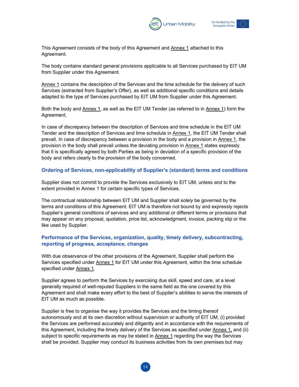



This Agreement consists of the body of this Agreement and Annex 1 attached to this Agreement.

The body contains standard general provisions applicable to all Services purchased by EIT UM from Supplier under this Agreement.

Annex 1 contains the description of the Services and the time schedule for the delivery of such Services (extracted from Supplier's Offer), as well as additional specific conditions and details adapted to the type of Services purchased by EIT UM from Supplier under this Agreement.

Both the body and Annex 1, as well as the EIT UM Tender (as referred to in Annex 1) form the Agreement.

In case of discrepancy between the description of Services and time schedule in the EIT UM Tender and the description of Services and time schedule in **Annex 1**, the EIT UM Tender shall prevail. In case of discrepancy between a provision in the body and a provision in Annex 1, the provision in the body shall prevail unless the deviating provision in Annex 1 states expressly that it is specifically agreed by both Parties as being in deviation of a specific provision of the body and refers clearly to the provision of the body concerned.

#### **Ordering of Services, non-applicability of Supplier's (standard) terms and conditions**

Supplier does not commit to provide the Services exclusively to EIT UM, unless and to the extent provided in Annex 1 for certain specific types of Services.

The contractual relationship between EIT UM and Supplier shall solely be governed by the terms and conditions of this Agreement. EIT UM is therefore not bound by and expressly rejects Supplier's general conditions of services and any additional or different terms or provisions that may appear on any proposal, quotation, price list, acknowledgment, invoice, packing slip or the like used by Supplier.

#### **Performance of the Services, organization, quality, timely delivery, subcontracting, reporting of progress, acceptance, changes**

With due observance of the other provisions of the Agreement, Supplier shall perform the Services specified under Annex 1 for EIT UM under this Agreement, within the time schedule specified under Annex 1.

Supplier agrees to perform the Services by exercising due skill, speed and care, at a level generally required of well-reputed Suppliers in the same field as the one covered by this Agreement and shall make every effort to the best of Supplier's abilities to serve the interests of EIT UM as much as possible.

Supplier is free to organise the way it provides the Services and the timing thereof autonomously and at its own discretion without supervision or authority of EIT UM, (i) provided the Services are performed accurately and diligently and in accordance with the requirements of this Agreement, including the timely delivery of the Services as specified under Annex 1, and (ii) subject to specific requirements as may be stated in  $\Delta n$ nex 1 regarding the way the Services shall be provided. Supplier may conduct its business activities from its own premises but may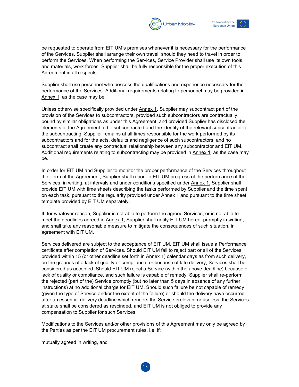



be requested to operate from EIT UM's premises whenever it is necessary for the performance of the Services. Supplier shall arrange their own travel, should they need to travel in order to perform the Services. When performing the Services, Service Provider shall use its own tools and materials, work forces. Supplier shall be fully responsible for the proper execution of this Agreement in all respects.

Supplier shall use personnel who possess the qualifications and experience necessary for the performance of the Services. Additional requirements relating to personnel may be provided in Annex 1, as the case may be.

Unless otherwise specifically provided under Annex 1, Supplier may subcontract part of the provision of the Services to subcontractors, provided such subcontractors are contractually bound by similar obligations as under this Agreement, and provided Supplier has disclosed the elements of the Agreement to be subcontracted and the identity of the relevant subcontractor to the subcontracting. Supplier remains at all times responsible for the work performed by its subcontractors and for the acts, defaults and negligence of such subcontractors, and no subcontract shall create any contractual relationship between any subcontractor and EIT UM. Additional requirements relating to subcontracting may be provided in Annex 1, as the case may be.

In order for EIT UM and Supplier to monitor the proper performance of the Services throughout the Term of the Agreement, Supplier shall report to EIT UM progress of the performance of the Services, in writing, at intervals and under conditions specified under Annex 1. Supplier shall provide EIT UM with time sheets describing the tasks performed by Supplier and the time spent on each task, pursuant to the regularity provided under Annex 1 and pursuant to the time sheet template provided by EIT UM separately.

If, for whatever reason, Supplier is not able to perform the agreed Services, or is not able to meet the deadlines agreed in Annex 1, Supplier shall notify EIT UM hereof promptly in writing, and shall take any reasonable measure to mitigate the consequences of such situation, in agreement with EIT UM.

Services delivered are subject to the acceptance of EIT UM. EIT UM shall issue a Performance certificate after completion of Services. Should EIT UM fail to reject part or all of the Services provided within 15 (or other deadline set forth in Annex 1) calendar days as from such delivery, on the grounds of a lack of quality or compliance, or because of late delivery, Services shall be considered as accepted. Should EIT UM reject a Service (within the above deadline) because of lack of quality or compliance, and such failure is capable of remedy, Supplier shall re-perform the rejected (part of the) Service promptly (but no later than 5 days in absence of any further instructions) at no additional charge for EIT UM. Should such failure be not capable of remedy (given the type of Service and/or the extent of the failure) or should the delivery have occurred after an essential delivery deadline which renders the Service irrelevant or useless, the Services at stake shall be considered as rescinded, and EIT UM is not obliged to provide any compensation to Supplier for such Services.

Modifications to the Services and/or other provisions of this Agreement may only be agreed by the Parties as per the EIT UM procurement rules, i.e. if:

mutually agreed in writing, and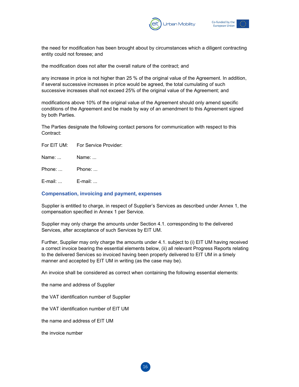



the need for modification has been brought about by circumstances which a diligent contracting entity could not foresee; and

the modification does not alter the overall nature of the contract; and

any increase in price is not higher than 25 % of the original value of the Agreement. In addition, if several successive increases in price would be agreed, the total cumulating of such successive increases shall not exceed 25% of the original value of the Agreement; and

modifications above 10% of the original value of the Agreement should only amend specific conditions of the Agreement and be made by way of an amendment to this Agreement signed by both Parties.

The Parties designate the following contact persons for communication with respect to this Contract:

| For Service Provider:<br>For EIT UM: |
|--------------------------------------|
|--------------------------------------|

Name: ... Name: ...

Phone: ... Phone: ...

E-mail: ... E-mail: ...

#### **Compensation, invoicing and payment, expenses**

Supplier is entitled to charge, in respect of Supplier's Services as described under Annex 1, the compensation specified in Annex 1 per Service.

Supplier may only charge the amounts under Section 4.1. corresponding to the delivered Services, after acceptance of such Services by EIT UM.

Further, Supplier may only charge the amounts under 4.1. subject to (i) EIT UM having received a correct invoice bearing the essential elements below, (ii) all relevant Progress Reports relating to the delivered Services so invoiced having been properly delivered to EIT UM in a timely manner and accepted by EIT UM in writing (as the case may be).

An invoice shall be considered as correct when containing the following essential elements:

the name and address of Supplier

the VAT identification number of Supplier

the VAT identification number of EIT UM

the name and address of EIT UM

the invoice number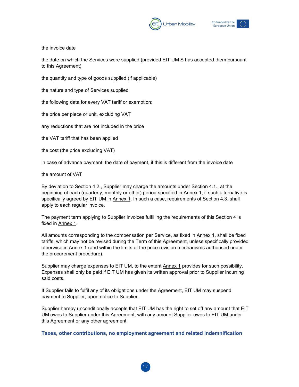



the invoice date

the date on which the Services were supplied (provided EIT UM S has accepted them pursuant to this Agreement)

the quantity and type of goods supplied (if applicable)

the nature and type of Services supplied

the following data for every VAT tariff or exemption:

the price per piece or unit, excluding VAT

any reductions that are not included in the price

the VAT tariff that has been applied

the cost (the price excluding VAT)

in case of advance payment: the date of payment, if this is different from the invoice date

the amount of VAT

By deviation to Section 4.2., Supplier may charge the amounts under Section 4.1., at the beginning of each (quarterly, monthly or other) period specified in Annex 1, if such alternative is specifically agreed by EIT UM in Annex 1. In such a case, requirements of Section 4.3. shall apply to each regular invoice.

The payment term applying to Supplier invoices fulfilling the requirements of this Section 4 is fixed in Annex 1.

All amounts corresponding to the compensation per Service, as fixed in Annex 1, shall be fixed tariffs, which may not be revised during the Term of this Agreement, unless specifically provided otherwise in Annex 1 (and within the limits of the price revision mechanisms authorised under the procurement procedure).

Supplier may charge expenses to EIT UM, to the extent Annex 1 provides for such possibility. Expenses shall only be paid if EIT UM has given its written approval prior to Supplier incurring said costs.

If Supplier fails to fulfil any of its obligations under the Agreement, EIT UM may suspend payment to Supplier, upon notice to Supplier.

Supplier hereby unconditionally accepts that EIT UM has the right to set off any amount that EIT UM owes to Supplier under this Agreement, with any amount Supplier owes to EIT UM under this Agreement or any other agreement.

**Taxes, other contributions, no employment agreement and related indemnification**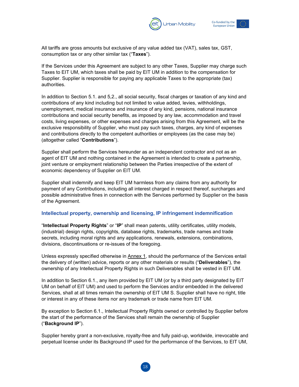



All tariffs are gross amounts but exclusive of any value added tax (VAT), sales tax, GST, consumption tax or any other similar tax ("**Taxes**").

If the Services under this Agreement are subject to any other Taxes, Supplier may charge such Taxes to EIT UM, which taxes shall be paid by EIT UM in addition to the compensation for Supplier. Supplier is responsible for paying any applicable Taxes to the appropriate (tax) authorities.

In addition to Section 5.1. and 5,2., all social security, fiscal charges or taxation of any kind and contributions of any kind including but not limited to value added, levies, withholdings, unemployment, medical insurance and insurance of any kind, pensions, national insurance contributions and social security benefits, as imposed by any law, accommodation and travel costs, living expenses, or other expenses and charges arising from this Agreement, will be the exclusive responsibility of Supplier, who must pay such taxes, charges, any kind of expenses and contributions directly to the competent authorities or employees (as the case may be) (altogether called "**Contributions**").

Supplier shall perform the Services hereunder as an independent contractor and not as an agent of EIT UM and nothing contained in the Agreement is intended to create a partnership, joint venture or employment relationship between the Parties irrespective of the extent of economic dependency of Supplier on EIT UM.

Supplier shall indemnify and keep EIT UM harmless from any claims from any authority for payment of any Contributions, including all interest charged in respect thereof, surcharges and possible administrative fines in connection with the Services performed by Supplier on the basis of the Agreement.

#### **Intellectual property, ownership and licensing, IP infringement indemnification**

"**Intellectual Property Rights**" or "**IP**" shall mean patents, utility certificates, utility models, (industrial) design rights, copyrights, database rights, trademarks, trade names and trade secrets, including moral rights and any applications, renewals, extensions, combinations, divisions, discontinuations or re-issues of the foregoing.

Unless expressly specified otherwise in Annex 1, should the performance of the Services entail the delivery of (written) advice, reports or any other materials or results ("**Deliverables**"), the ownership of any Intellectual Property Rights in such Deliverables shall be vested in EIT UM.

In addition to Section 6.1., any item provided by EIT UM (or by a third party designated by EIT UM on behalf of EIT UM) and used to perform the Services and/or embedded in the delivered Services, shall at all times remain the ownership of EIT UM S. Supplier shall have no right, title or interest in any of these items nor any trademark or trade name from EIT UM.

By exception to Section 6.1., Intellectual Property Rights owned or controlled by Supplier before the start of the performance of the Services shall remain the ownership of Supplier ("**Background IP**").

Supplier hereby grant a non-exclusive, royalty-free and fully paid-up, worldwide, irrevocable and perpetual license under its Background IP used for the performance of the Services, to EIT UM,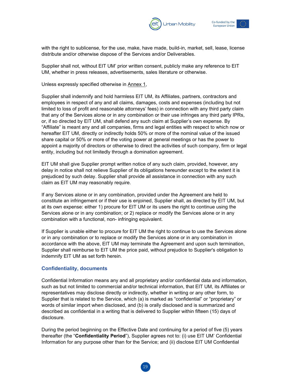



with the right to sublicense, for the use, make, have made, build-in, market, sell, lease, license distribute and/or otherwise dispose of the Services and/or Deliverables.

Supplier shall not, without EIT UM' prior written consent, publicly make any reference to EIT UM, whether in press releases, advertisements, sales literature or otherwise.

Unless expressly specified otherwise in Annex 1,

Supplier shall indemnify and hold harmless EIT UM, its Affiliates, partners, contractors and employees in respect of any and all claims, damages, costs and expenses (including but not limited to loss of profit and reasonable attorneys' fees) in connection with any third party claim that any of the Services alone or in any combination or their use infringes any third party IPRs, or, if so directed by EIT UM, shall defend any such claim at Supplier's own expense. By "Affiliate" is meant any and all companies, firms and legal entities with respect to which now or hereafter EIT UM, directly or indirectly holds 50% or more of the nominal value of the issued share capital or 50% or more of the voting power at general meetings or has the power to appoint a majority of directors or otherwise to direct the activities of such company, firm or legal entity, including but not limitedly through a domination agreement.

EIT UM shall give Supplier prompt written notice of any such claim, provided, however, any delay in notice shall not relieve Supplier of its obligations hereunder except to the extent it is prejudiced by such delay. Supplier shall provide all assistance in connection with any such claim as EIT UM may reasonably require.

If any Services alone or in any combination, provided under the Agreement are held to constitute an infringement or if their use is enjoined, Supplier shall, as directed by EIT UM, but at its own expense: either 1) procure for EIT UM or its users the right to continue using the Services alone or in any combination; or 2) replace or modify the Services alone or in any combination with a functional, non- infringing equivalent.

If Supplier is unable either to procure for EIT UM the right to continue to use the Services alone or in any combination or to replace or modify the Services alone or in any combination in accordance with the above, EIT UM may terminate the Agreement and upon such termination, Supplier shall reimburse to EIT UM the price paid, without prejudice to Supplier's obligation to indemnify EIT UM as set forth herein.

#### **Confidentiality, documents**

Confidential Information means any and all proprietary and/or confidential data and information, such as but not limited to commercial and/or technical information, that EIT UM, its Affiliates or representatives may disclose directly or indirectly, whether in writing or any other form, to Supplier that is related to the Service, which (a) is marked as "confidential" or "proprietary" or words of similar import when disclosed, and (b) is orally disclosed and is summarized and described as confidential in a writing that is delivered to Supplier within fifteen (15) days of disclosure.

During the period beginning on the Effective Date and continuing for a period of five (5) years thereafter (the "**Confidentiality Period**"), Supplier agrees not to: (i) use EIT UM' Confidential Information for any purpose other than for the Service; and (ii) disclose EIT UM Confidential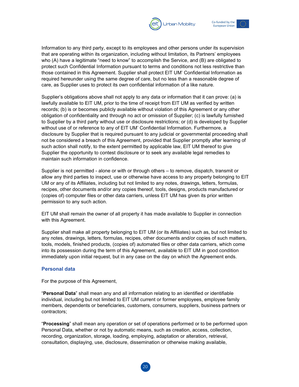



Information to any third party, except to its employees and other persons under its supervision that are operating within its organization, including without limitation, its Partners' employees who (A) have a legitimate "need to know" to accomplish the Service, and (B) are obligated to protect such Confidential Information pursuant to terms and conditions not less restrictive than those contained in this Agreement. Supplier shall protect EIT UM' Confidential Information as required hereunder using the same degree of care, but no less than a reasonable degree of care, as Supplier uses to protect its own confidential information of a like nature.

Supplier's obligations above shall not apply to any data or information that it can prove: (a) is lawfully available to EIT UM, prior to the time of receipt from EIT UM as verified by written records; (b) is or becomes publicly available without violation of this Agreement or any other obligation of confidentiality and through no act or omission of Supplier; (c) is lawfully furnished to Supplier by a third party without use or disclosure restrictions; or (d) is developed by Supplier without use of or reference to any of EIT UM' Confidential Information. Furthermore, a disclosure by Supplier that is required pursuant to any judicial or governmental proceeding shall not be considered a breach of this Agreement, provided that Supplier promptly after learning of such action shall notify, to the extent permitted by applicable law, EIT UM thereof to give Supplier the opportunity to contest disclosure or to seek any available legal remedies to maintain such information in confidence.

Supplier is not permitted - alone or with or through others – to remove, dispatch, transmit or allow any third parties to inspect, use or otherwise have access to any property belonging to EIT UM or any of its Affiliates, including but not limited to any notes, drawings, letters, formulas, recipes, other documents and/or any copies thereof, tools, designs, products manufactured or (copies of) computer files or other data carriers, unless EIT UM has given its prior written permission to any such action.

EIT UM shall remain the owner of all property it has made available to Supplier in connection with this Agreement.

Supplier shall make all property belonging to EIT UM (or its Affiliates) such as, but not limited to any notes, drawings, letters, formulas, recipes, other documents and/or copies of such matters, tools, models, finished products, (copies of) automated files or other data carriers, which come into its possession during the term of this Agreement, available to EIT UM in good condition immediately upon initial request, but in any case on the day on which the Agreement ends.

#### **Personal data**

For the purpose of this Agreement,

"**Personal Data**" shall mean any and all information relating to an identified or identifiable individual, including but not limited to EIT UM current or former employees, employee family members, dependents or beneficiaries, customers, consumers, suppliers, business partners or contractors;

"**Processing**" shall mean any operation or set of operations performed or to be performed upon Personal Data, whether or not by automatic means, such as creation, access, collection, recording, organization, storage, loading, employing, adaptation or alteration, retrieval, consultation, displaying, use, disclosure, dissemination or otherwise making available,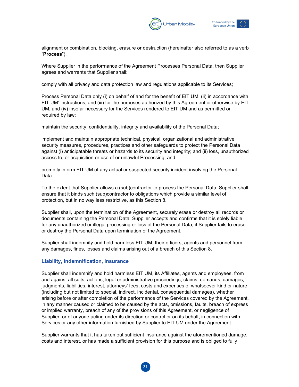



alignment or combination, blocking, erasure or destruction (hereinafter also referred to as a verb "**Process**").

Where Supplier in the performance of the Agreement Processes Personal Data, then Supplier agrees and warrants that Supplier shall:

comply with all privacy and data protection law and regulations applicable to its Services;

Process Personal Data only (i) on behalf of and for the benefit of EIT UM, (ii) in accordance with EIT UM' instructions, and (iii) for the purposes authorized by this Agreement or otherwise by EIT UM, and (iv) insofar necessary for the Services rendered to EIT UM and as permitted or required by law;

maintain the security, confidentiality, integrity and availability of the Personal Data;

implement and maintain appropriate technical, physical, organizational and administrative security measures, procedures, practices and other safeguards to protect the Personal Data against (i) anticipatable threats or hazards to its security and integrity; and (ii) loss, unauthorized access to, or acquisition or use of or unlawful Processing; and

promptly inform EIT UM of any actual or suspected security incident involving the Personal Data.

To the extent that Supplier allows a (sub)contractor to process the Personal Data, Supplier shall ensure that it binds such (sub)contractor to obligations which provide a similar level of protection, but in no way less restrictive, as this Section 8.

Supplier shall, upon the termination of the Agreement, securely erase or destroy all records or documents containing the Personal Data. Supplier accepts and confirms that it is solely liable for any unauthorized or illegal processing or loss of the Personal Data, if Supplier fails to erase or destroy the Personal Data upon termination of the Agreement.

Supplier shall indemnify and hold harmless EIT UM, their officers, agents and personnel from any damages, fines, losses and claims arising out of a breach of this Section 8.

#### **Liability, indemnification, insurance**

Supplier shall indemnify and hold harmless EIT UM, its Affiliates, agents and employees, from and against all suits, actions, legal or administrative proceedings, claims, demands, damages, judgments, liabilities, interest, attorneys' fees, costs and expenses of whatsoever kind or nature (including but not limited to special, indirect, incidental, consequential damages), whether arising before or after completion of the performance of the Services covered by the Agreement, in any manner caused or claimed to be caused by the acts, omissions, faults, breach of express or implied warranty, breach of any of the provisions of this Agreement, or negligence of Supplier, or of anyone acting under its direction or control or on its behalf, in connection with Services or any other information furnished by Supplier to EIT UM under the Agreement.

Supplier warrants that it has taken out sufficient insurance against the aforementioned damage, costs and interest, or has made a sufficient provision for this purpose and is obliged to fully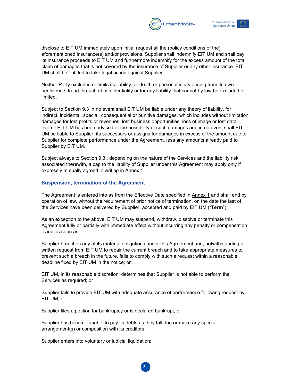



disclose to EIT UM immediately upon initial request all the (policy conditions of the) aforementioned insurance(s) and/or provisions. Supplier shall indemnify EIT UM and shall pay its insurance proceeds to EIT UM and furthermore indemnify for the excess amount of the total claim of damages that is not covered by the insurance of Supplier or any other insurance. EIT UM shall be entitled to take legal action against Supplier.

Neither Party excludes or limits its liability for death or personal injury arising from its own negligence, fraud, breach of confidentiality or for any liability that cannot by law be excluded or limited.

Subject to Section 9.3 In no event shall EIT UM be liable under any theory of liability, for indirect, incidental, special, consequential or punitive damages, which includes without limitation damages for lost profits or revenues, lost business opportunities, loss of image or lost data, even if EIT UM has been advised of the possibility of such damages and in no event shall EIT UM be liable to Supplier, its successors or assigns for damages in excess of the amount due to Supplier for complete performance under the Agreement, less any amounts already paid to Supplier by EIT UM.

Subject always to Section 9.3., depending on the nature of the Services and the liability risk associated therewith, a cap to the liability of Supplier under this Agreement may apply only if expressly mutually agreed in writing in Annex 1.

#### **Suspension, termination of the Agreement**

The Agreement is entered into as from the Effective Date specified in Annex 1 and shall end by operation of law, without the requirement of prior notice of termination, on the date the last of the Services have been delivered by Supplier, accepted and paid by EIT UM ("**Term**").

As an exception to the above, EIT UM may suspend, withdraw, dissolve or terminate this Agreement fully or partially with immediate effect without incurring any penalty or compensation if and as soon as:

Supplier breaches any of its material obligations under this Agreement and, notwithstanding a written request from EIT UM to repair the current breach and to take appropriate measures to prevent such a breach in the future, fails to comply with such a request within a reasonable deadline fixed by EIT UM in the notice; or

EIT UM, in its reasonable discretion, determines that Supplier is not able to perform the Services as required; or

Supplier fails to provide EIT UM with adequate assurance of performance following request by EIT UM; or

Supplier files a petition for bankruptcy or is declared bankrupt; or

Supplier has become unable to pay its debts as they fall due or make any special arrangement(s) or composition with its creditors;

Supplier enters into voluntary or judicial liquidation;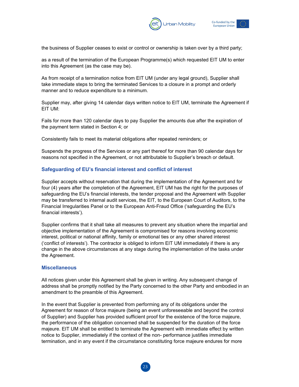



the business of Supplier ceases to exist or control or ownership is taken over by a third party;

as a result of the termination of the European Programme(s) which requested EIT UM to enter into this Agreement (as the case may be).

As from receipt of a termination notice from EIT UM (under any legal ground), Supplier shall take immediate steps to bring the terminated Services to a closure in a prompt and orderly manner and to reduce expenditure to a minimum.

Supplier may, after giving 14 calendar days written notice to EIT UM, terminate the Agreement if EIT UM:

Fails for more than 120 calendar days to pay Supplier the amounts due after the expiration of the payment term stated in Section 4; or

Consistently fails to meet its material obligations after repeated reminders; or

Suspends the progress of the Services or any part thereof for more than 90 calendar days for reasons not specified in the Agreement, or not attributable to Supplier's breach or default.

#### **Safeguarding of EU's financial interest and conflict of interest**

Supplier accepts without reservation that during the implementation of the Agreement and for four (4) years after the completion of the Agreement, EIT UM has the right for the purposes of safeguarding the EU's financial interests, the tender proposal and the Agreement with Supplier may be transferred to internal audit services, the EIT, to the European Court of Auditors, to the Financial Irregularities Panel or to the European Anti-Fraud Office ('safeguarding the EU's financial interests').

Supplier confirms that it shall take all measures to prevent any situation where the impartial and objective implementation of the Agreement is compromised for reasons involving economic interest, political or national affinity, family or emotional ties or any other shared interest ('conflict of interests'). The contractor is obliged to inform EIT UM immediately if there is any change in the above circumstances at any stage during the implementation of the tasks under the Agreement.

#### **Miscellaneous**

All notices given under this Agreement shall be given in writing. Any subsequent change of address shall be promptly notified by the Party concerned to the other Party and embodied in an amendment to the preamble of this Agreement.

In the event that Supplier is prevented from performing any of its obligations under the Agreement for reason of force majeure (being an event unforeseeable and beyond the control of Supplier) and Supplier has provided sufficient proof for the existence of the force majeure, the performance of the obligation concerned shall be suspended for the duration of the force majeure. EIT UM shall be entitled to terminate the Agreement with immediate effect by written notice to Supplier, immediately if the context of the non- performance justifies immediate termination, and in any event if the circumstance constituting force majeure endures for more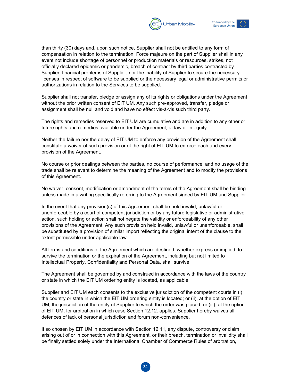



than thirty (30) days and, upon such notice, Supplier shall not be entitled to any form of compensation in relation to the termination. Force majeure on the part of Supplier shall in any event not include shortage of personnel or production materials or resources, strikes, not officially declared epidemic or pandemic, breach of contract by third parties contracted by Supplier, financial problems of Supplier, nor the inability of Supplier to secure the necessary licenses in respect of software to be supplied or the necessary legal or administrative permits or authorizations in relation to the Services to be supplied.

Supplier shall not transfer, pledge or assign any of its rights or obligations under the Agreement without the prior written consent of EIT UM. Any such pre-approved, transfer, pledge or assignment shall be null and void and have no effect vis-à-vis such third party.

The rights and remedies reserved to EIT UM are cumulative and are in addition to any other or future rights and remedies available under the Agreement, at law or in equity.

Neither the failure nor the delay of EIT UM to enforce any provision of the Agreement shall constitute a waiver of such provision or of the right of EIT UM to enforce each and every provision of the Agreement.

No course or prior dealings between the parties, no course of performance, and no usage of the trade shall be relevant to determine the meaning of the Agreement and to modify the provisions of this Agreement.

No waiver, consent, modification or amendment of the terms of the Agreement shall be binding unless made in a writing specifically referring to the Agreement signed by EIT UM and Supplier.

In the event that any provision(s) of this Agreement shall be held invalid, unlawful or unenforceable by a court of competent jurisdiction or by any future legislative or administrative action, such holding or action shall not negate the validity or enforceability of any other provisions of the Agreement. Any such provision held invalid, unlawful or unenforceable, shall be substituted by a provision of similar import reflecting the original intent of the clause to the extent permissible under applicable law.

All terms and conditions of the Agreement which are destined, whether express or implied, to survive the termination or the expiration of the Agreement, including but not limited to Intellectual Property, Confidentiality and Personal Data, shall survive.

The Agreement shall be governed by and construed in accordance with the laws of the country or state in which the EIT UM ordering entity is located, as applicable.

Supplier and EIT UM each consents to the exclusive jurisdiction of the competent courts in (i) the country or state in which the EIT UM ordering entity is located; or (ii), at the option of EIT UM, the jurisdiction of the entity of Supplier to which the order was placed, or (iii), at the option of EIT UM, for arbitration in which case Section 12.12. applies. Supplier hereby waives all defences of lack of personal jurisdiction and forum non-convenience.

If so chosen by EIT UM in accordance with Section 12.11, any dispute, controversy or claim arising out of or in connection with this Agreement, or their breach, termination or invalidity shall be finally settled solely under the International Chamber of Commerce Rules of arbitration,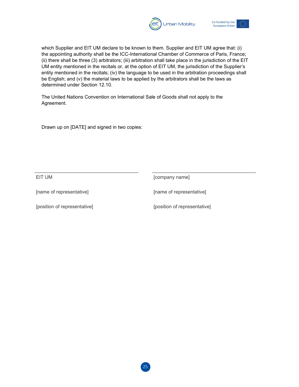



which Supplier and EIT UM declare to be known to them. Supplier and EIT UM agree that: (i) the appointing authority shall be the ICC-International Chamber of Commerce of Paris, France; (ii) there shall be three (3) arbitrators; (iii) arbitration shall take place in the jurisdiction of the EIT UM entity mentioned in the recitals or, at the option of EIT UM, the jurisdiction of the Supplier's entity mentioned in the recitals; (iv) the language to be used in the arbitration proceedings shall be English; and (v) the material laws to be applied by the arbitrators shall be the laws as determined under Section 12.10.

The United Nations Convention on International Sale of Goods shall not apply to the Agreement.

Drawn up on [DATE] and signed in two copies:

EIT UM **EIT UM** [company name]

[name of representative] [name of representative]

[position of representative] [position of representative]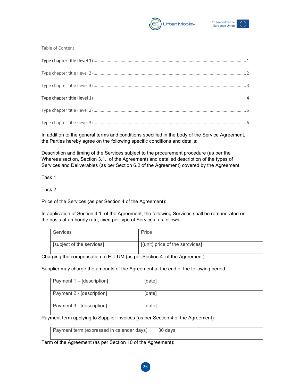



Table of Content

In addition to the general terms and conditions specified in the body of the Service Agreement, the Parties hereby agree on the following specific conditions and details:

Description and timing of the Services subject to the procurement procedure (as per the Whereas section, Section 3.1., of the Agreement) and detailed description of the types of Services and Deliverables (as per Section 6.2 of the Agreement) covered by the Agreement:

Task 1

Task 2

Price of the Services (as per Section 4 of the Agreement):

In application of Section 4.1. of the Agreement, the following Services shall be remunerated on the basis of an hourly rate, fixed per type of Services, as follows:

| <b>Services</b>           | Price                           |
|---------------------------|---------------------------------|
| [subject of the services] | [(unit) price of the sercvices] |

Charging the compensation to EIT UM (as per Section 4. of the Agreement)

Supplier may charge the amounts of the Agreement at the end of the following period:

| Payment 1 – [description] | [date] |
|---------------------------|--------|
| Payment 2 - [description] | [date] |
| Payment 3 - [description] | [date] |

Payment term applying to Supplier invoices (as per Section 4 of the Agreement):

| Payment term (expressed in calendar days)   30 days |  |
|-----------------------------------------------------|--|
|                                                     |  |

Term of the Agreement (as per Section 10 of the Agreement):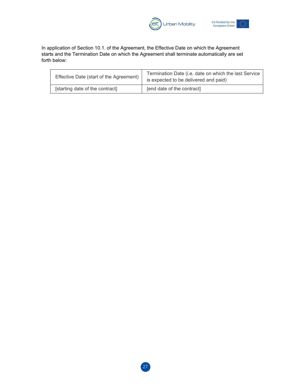



In application of Section 10.1. of the Agreement, the Effective Date on which the Agreement starts and the Termination Date on which the Agreement shall terminate automatically are set forth below:

| Effective Date (start of the Agreement) | Termination Date (i.e. date on which the last Service<br>is expected to be delivered and paid) |
|-----------------------------------------|------------------------------------------------------------------------------------------------|
| [starting date of the contract]         | [end date of the contract]                                                                     |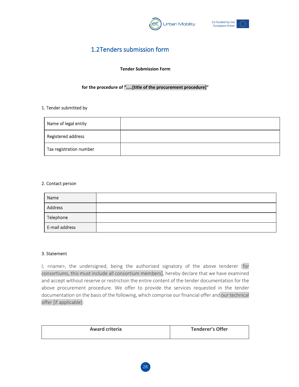



## <span id="page-28-0"></span>1.2Tenders submission form

#### **Tender Submission Form**

#### **for the procedure of "…..[title of the procurement procedure]"**

#### 1. Tender submitted by

| Name of legal entity    |  |
|-------------------------|--|
| Registered address      |  |
| Tax registration number |  |

#### 2. Contact person

| Name           |  |
|----------------|--|
| Address        |  |
| Telephone      |  |
| E-mail address |  |

#### 3. Statement

I, <name>, the undersigned, being the authorised signatory of the above tenderer [for consortiums, this must include all consortium members], hereby declare that we have examined and accept without reserve or restriction the entire content of the tender documentation for the above procurement procedure. We offer to provide the services requested in the tender documentation on the basis of the following, which comprise our financial offer and our technical offer [if applicable]:

| <b>Award criteria</b> | <b>Tenderer's Offer</b> |
|-----------------------|-------------------------|
|                       |                         |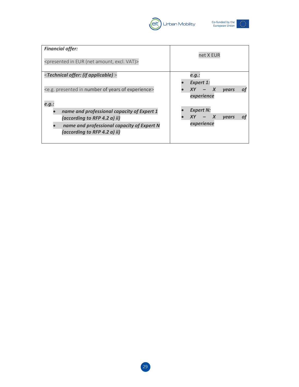



| <b>Financial offer:</b><br><presented (net="" amount,="" eur="" excl.="" in="" vat)=""></presented>                                                      | net X EUR                                                          |
|----------------------------------------------------------------------------------------------------------------------------------------------------------|--------------------------------------------------------------------|
| <technical (if="" applicable)="" offer:=""><br/><e.g. experience="" in="" number="" of="" presented="" years=""><br/>e.g.:</e.g.></technical>            | e.g.:<br><b>Expert 1:</b><br>X<br>vears<br><b>XY</b><br>experience |
| name and professional capacity of Expert 1<br>(according to RFP 4.2 a) ii)<br>name and professional capacity of Expert N<br>(according to RFP 4.2 a) ii) | <b>Expert N:</b><br>XY.<br><b>vears</b><br>experience              |